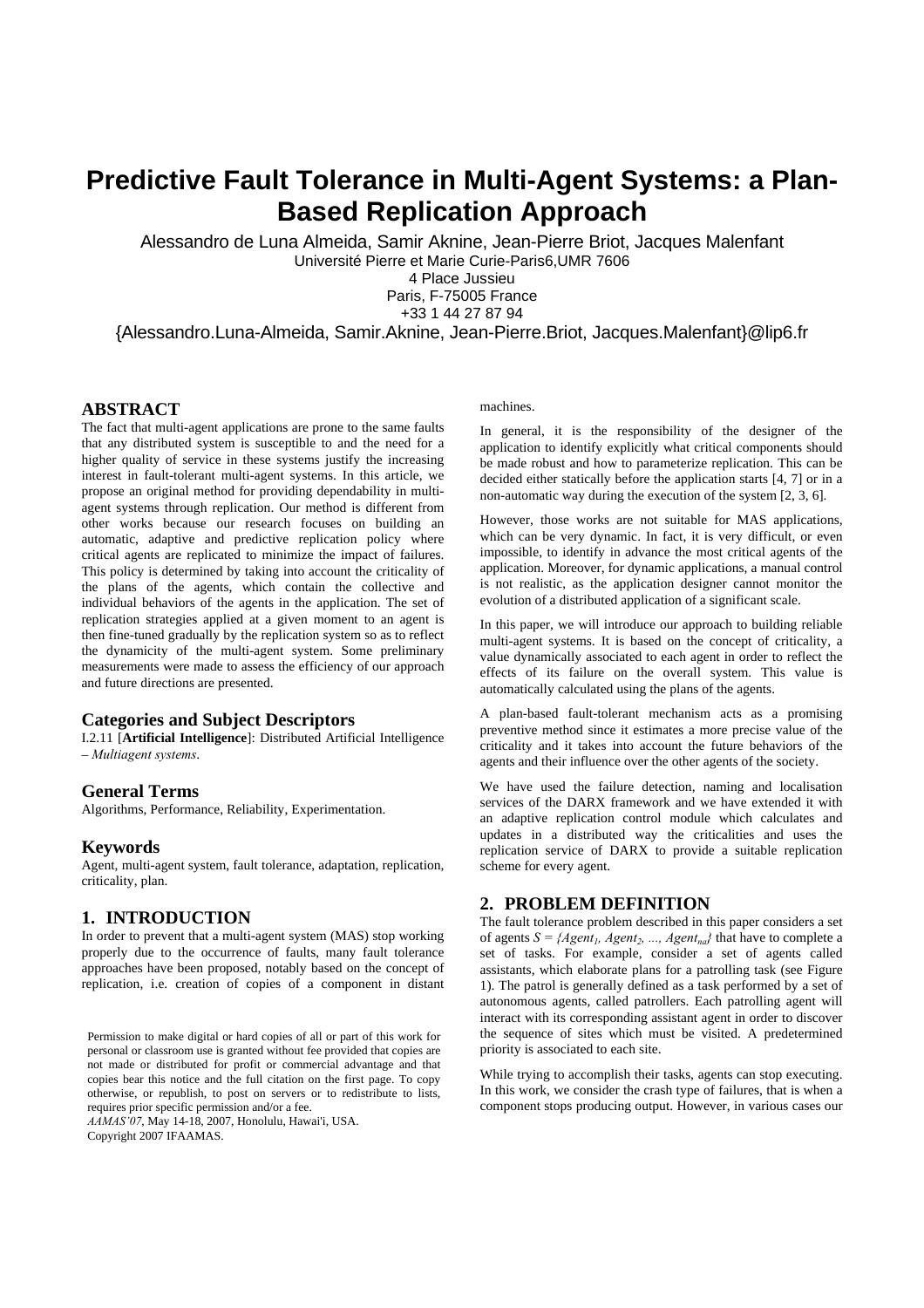# **Predictive Fault Tolerance in Multi-Agent Systems: a Plan-Based Replication Approach**

Alessandro de Luna Almeida, Samir Aknine, Jean-Pierre Briot, Jacques Malenfant Université Pierre et Marie Curie-Paris6,UMR 7606 4 Place Jussieu Paris, F-75005 France +33 1 44 27 87 94

{Alessandro.Luna-Almeida, Samir.Aknine, Jean-Pierre.Briot, Jacques.Malenfant}@lip6.fr

### **ABSTRACT**

The fact that multi-agent applications are prone to the same faults that any distributed system is susceptible to and the need for a higher quality of service in these systems justify the increasing interest in fault-tolerant multi-agent systems. In this article, we propose an original method for providing dependability in multiagent systems through replication. Our method is different from other works because our research focuses on building an automatic, adaptive and predictive replication policy where critical agents are replicated to minimize the impact of failures. This policy is determined by taking into account the criticality of the plans of the agents, which contain the collective and individual behaviors of the agents in the application. The set of replication strategies applied at a given moment to an agent is then fine-tuned gradually by the replication system so as to reflect the dynamicity of the multi-agent system. Some preliminary measurements were made to assess the efficiency of our approach and future directions are presented.

#### **Categories and Subject Descriptors**

I.2.11 [**Artificial Intelligence**]: Distributed Artificial Intelligence – *Multiagent systems*.

#### **General Terms**

Algorithms, Performance, Reliability, Experimentation.

#### **Keywords**

Agent, multi-agent system, fault tolerance, adaptation, replication, criticality, plan.

# **1. INTRODUCTION**

In order to prevent that a multi-agent system (MAS) stop working properly due to the occurrence of faults, many fault tolerance approaches have been proposed, notably based on the concept of replication, i.e. creation of copies of a component in distant

Permission to make digital or hard copies of all or part of this work for personal or classroom use is granted without fee provided that copies are not made or distributed for profit or commercial advantage and that copies bear this notice and the full citation on the first page. To copy otherwise, or republish, to post on servers or to redistribute to lists, requires prior specific permission and/or a fee.

*AAMAS'07*, May 14-18, 2007, Honolulu, Hawai'i, USA. Copyright 2007 IFAAMAS.

#### machines.

In general, it is the responsibility of the designer of the application to identify explicitly what critical components should be made robust and how to parameterize replication. This can be decided either statically before the application starts [4, 7] or in a non-automatic way during the execution of the system [2, 3, 6].

However, those works are not suitable for MAS applications, which can be very dynamic. In fact, it is very difficult, or even impossible, to identify in advance the most critical agents of the application. Moreover, for dynamic applications, a manual control is not realistic, as the application designer cannot monitor the evolution of a distributed application of a significant scale.

In this paper, we will introduce our approach to building reliable multi-agent systems. It is based on the concept of criticality, a value dynamically associated to each agent in order to reflect the effects of its failure on the overall system. This value is automatically calculated using the plans of the agents.

A plan-based fault-tolerant mechanism acts as a promising preventive method since it estimates a more precise value of the criticality and it takes into account the future behaviors of the agents and their influence over the other agents of the society.

We have used the failure detection, naming and localisation services of the DARX framework and we have extended it with an adaptive replication control module which calculates and updates in a distributed way the criticalities and uses the replication service of DARX to provide a suitable replication scheme for every agent.

# **2. PROBLEM DEFINITION**

The fault tolerance problem described in this paper considers a set of agents  $S = \{Agent_1, Agent_2, ..., Agent_{na}\}$  that have to complete a set of tasks. For example, consider a set of agents called assistants, which elaborate plans for a patrolling task (see Figure 1). The patrol is generally defined as a task performed by a set of autonomous agents, called patrollers. Each patrolling agent will interact with its corresponding assistant agent in order to discover the sequence of sites which must be visited. A predetermined priority is associated to each site.

While trying to accomplish their tasks, agents can stop executing. In this work, we consider the crash type of failures, that is when a component stops producing output. However, in various cases our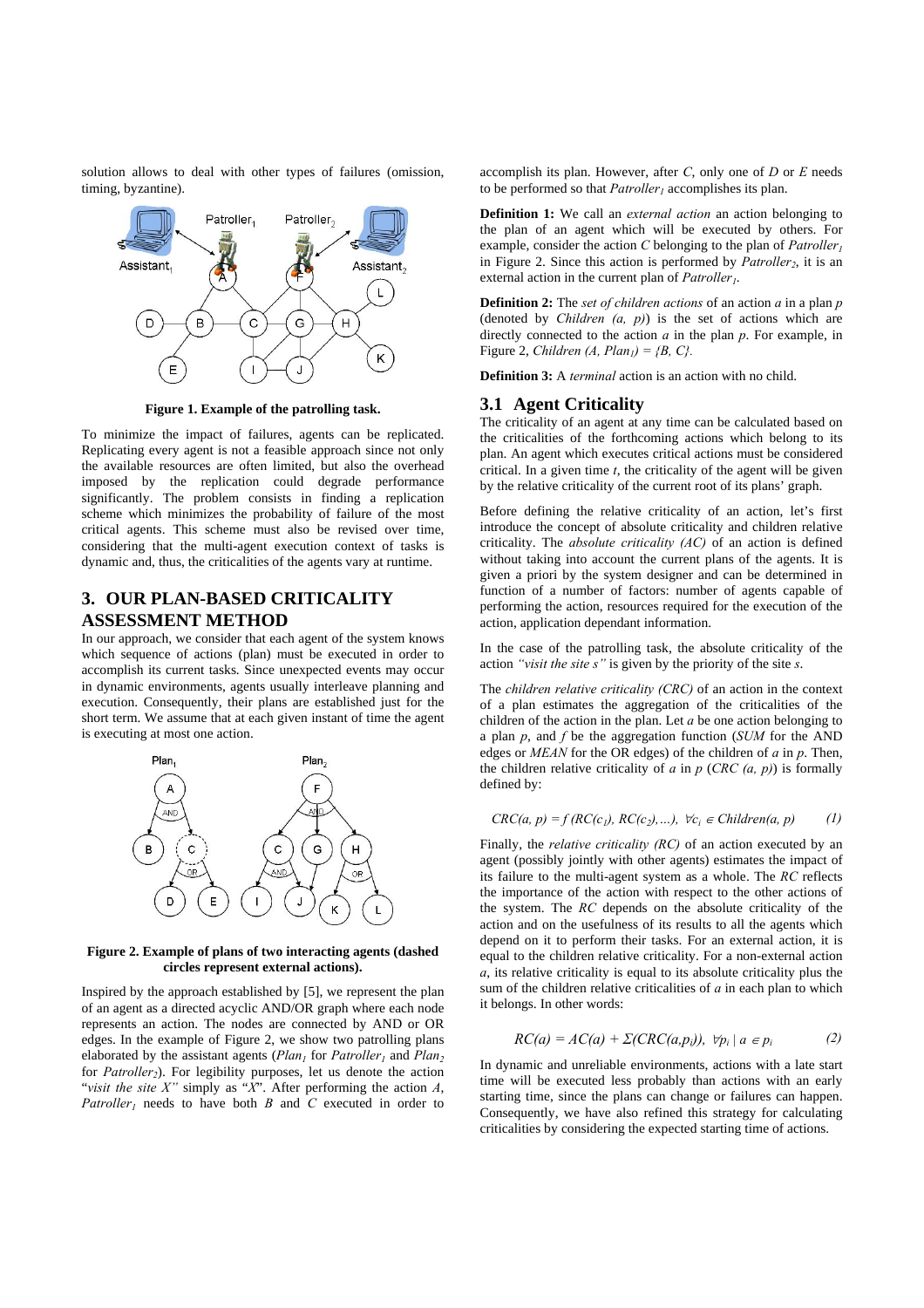solution allows to deal with other types of failures (omission, timing, byzantine).



**Figure 1. Example of the patrolling task.** 

To minimize the impact of failures, agents can be replicated. Replicating every agent is not a feasible approach since not only the available resources are often limited, but also the overhead imposed by the replication could degrade performance significantly. The problem consists in finding a replication scheme which minimizes the probability of failure of the most critical agents. This scheme must also be revised over time, considering that the multi-agent execution context of tasks is dynamic and, thus, the criticalities of the agents vary at runtime.

# **3. OUR PLAN-BASED CRITICALITY ASSESSMENT METHOD**

In our approach, we consider that each agent of the system knows which sequence of actions (plan) must be executed in order to accomplish its current tasks. Since unexpected events may occur in dynamic environments, agents usually interleave planning and execution. Consequently, their plans are established just for the short term. We assume that at each given instant of time the agent is executing at most one action.



#### **Figure 2. Example of plans of two interacting agents (dashed circles represent external actions).**

Inspired by the approach established by [5], we represent the plan of an agent as a directed acyclic AND/OR graph where each node represents an action. The nodes are connected by AND or OR edges. In the example of Figure 2, we show two patrolling plans elaborated by the assistant agents ( $Plan<sub>1</sub>$  for  $Partoller<sub>1</sub>$  and  $Plan<sub>2</sub>$ ) for *Patroller<sub>2</sub>*). For legibility purposes, let us denote the action "*visit the site X"* simply as "*X*". After performing the action *A*, *Patroller<sub>1</sub>* needs to have both *B* and *C* executed in order to

accomplish its plan. However, after *C*, only one of *D* or *E* needs to be performed so that *Patroller<sub>1</sub>* accomplishes its plan.

**Definition 1:** We call an *external action* an action belonging to the plan of an agent which will be executed by others. For example, consider the action *C* belonging to the plan of *Patroller*<sup>1</sup> in Figure 2. Since this action is performed by  $\textit{Patroller}_2$ , it is an external action in the current plan of *Patroller<sub>1</sub>*.

**Definition 2:** The *set of children actions* of an action *a* in a plan *p* (denoted by *Children (a, p)*) is the set of actions which are directly connected to the action *a* in the plan *p*. For example, in Figure 2, *Children (A, Plan<sub>1</sub>)* =  $\{B, C\}$ .

**Definition 3:** A *terminal* action is an action with no child.

### **3.1 Agent Criticality**

The criticality of an agent at any time can be calculated based on the criticalities of the forthcoming actions which belong to its plan. An agent which executes critical actions must be considered critical. In a given time *t*, the criticality of the agent will be given by the relative criticality of the current root of its plans' graph.

Before defining the relative criticality of an action, let's first introduce the concept of absolute criticality and children relative criticality. The *absolute criticality (AC)* of an action is defined without taking into account the current plans of the agents. It is given a priori by the system designer and can be determined in function of a number of factors: number of agents capable of performing the action, resources required for the execution of the action, application dependant information.

In the case of the patrolling task, the absolute criticality of the action *"visit the site s"* is given by the priority of the site *s*.

The *children relative criticality (CRC)* of an action in the context of a plan estimates the aggregation of the criticalities of the children of the action in the plan. Let *a* be one action belonging to a plan *p*, and *f* be the aggregation function (*SUM* for the AND edges or *MEAN* for the OR edges) of the children of *a* in *p*. Then, the children relative criticality of  $a$  in  $p$  (*CRC (a, p)*) is formally defined by:

$$
CRC(a, p) = f(RC(c1), RC(c2),...), \forall ci \in Children(a, p)
$$
 (1)

Finally, the *relative criticality (RC)* of an action executed by an agent (possibly jointly with other agents) estimates the impact of its failure to the multi-agent system as a whole. The *RC* reflects the importance of the action with respect to the other actions of the system. The *RC* depends on the absolute criticality of the action and on the usefulness of its results to all the agents which depend on it to perform their tasks. For an external action, it is equal to the children relative criticality. For a non-external action *a*, its relative criticality is equal to its absolute criticality plus the sum of the children relative criticalities of *a* in each plan to which it belongs. In other words:

$$
RC(a) = AC(a) + \Sigma (CRC(a, p_i)), \ \forall p_i \mid a \in p_i \tag{2}
$$

In dynamic and unreliable environments, actions with a late start time will be executed less probably than actions with an early starting time, since the plans can change or failures can happen. Consequently, we have also refined this strategy for calculating criticalities by considering the expected starting time of actions.